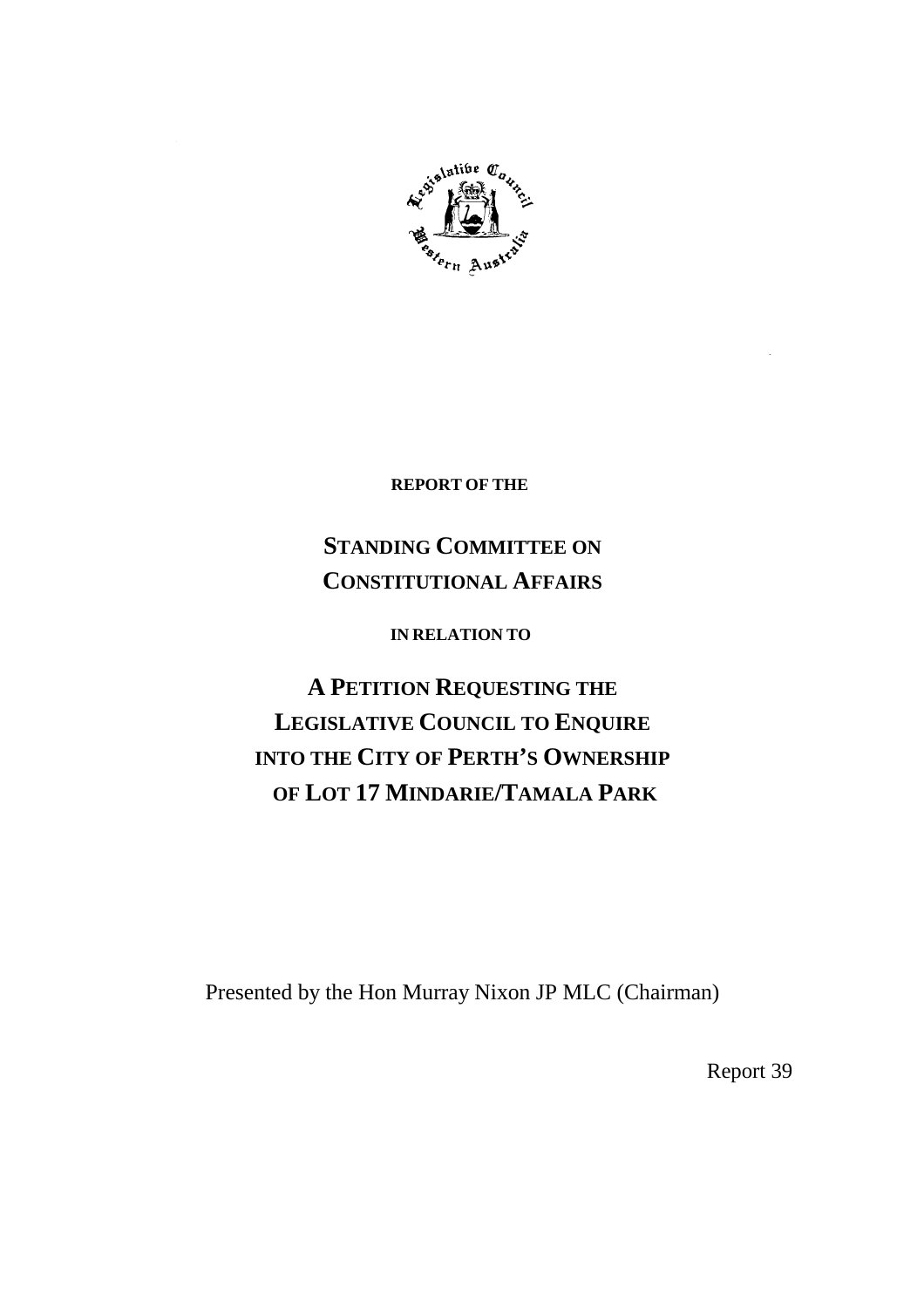

**REPORT OF THE**

# **STANDING COMMITTEE ON CONSTITUTIONAL AFFAIRS**

**IN RELATION TO**

**A PETITION REQUESTING THE LEGISLATIVE COUNCIL TO ENQUIRE INTO THE CITY OF PERTH'S OWNERSHIP OF LOT 17 MINDARIE/TAMALA PARK**

Presented by the Hon Murray Nixon JP MLC (Chairman)

Report 39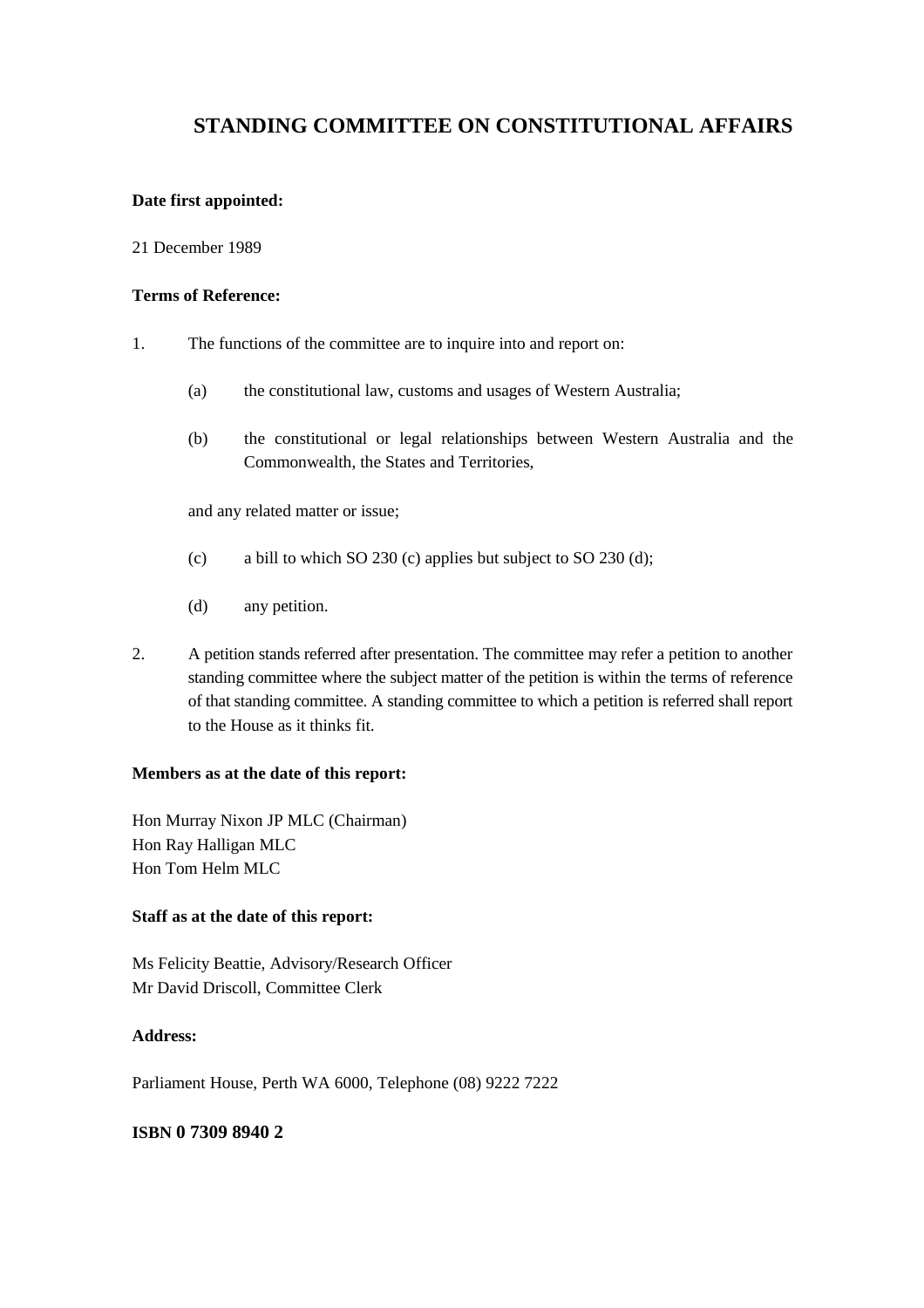## **STANDING COMMITTEE ON CONSTITUTIONAL AFFAIRS**

## **Date first appointed:**

## 21 December 1989

## **Terms of Reference:**

- 1. The functions of the committee are to inquire into and report on:
	- (a) the constitutional law, customs and usages of Western Australia;
	- (b) the constitutional or legal relationships between Western Australia and the Commonwealth, the States and Territories,

and any related matter or issue;

- (c) a bill to which SO 230 (c) applies but subject to SO 230 (d);
- (d) any petition.
- 2. A petition stands referred after presentation. The committee may refer a petition to another standing committee where the subject matter of the petition is within the terms of reference of that standing committee. A standing committee to which a petition is referred shall report to the House as it thinks fit.

## **Members as at the date of this report:**

Hon Murray Nixon JP MLC (Chairman) Hon Ray Halligan MLC Hon Tom Helm MLC

## **Staff as at the date of this report:**

Ms Felicity Beattie, Advisory/Research Officer Mr David Driscoll, Committee Clerk

## **Address:**

Parliament House, Perth WA 6000, Telephone (08) 9222 7222

## **ISBN 0 7309 8940 2**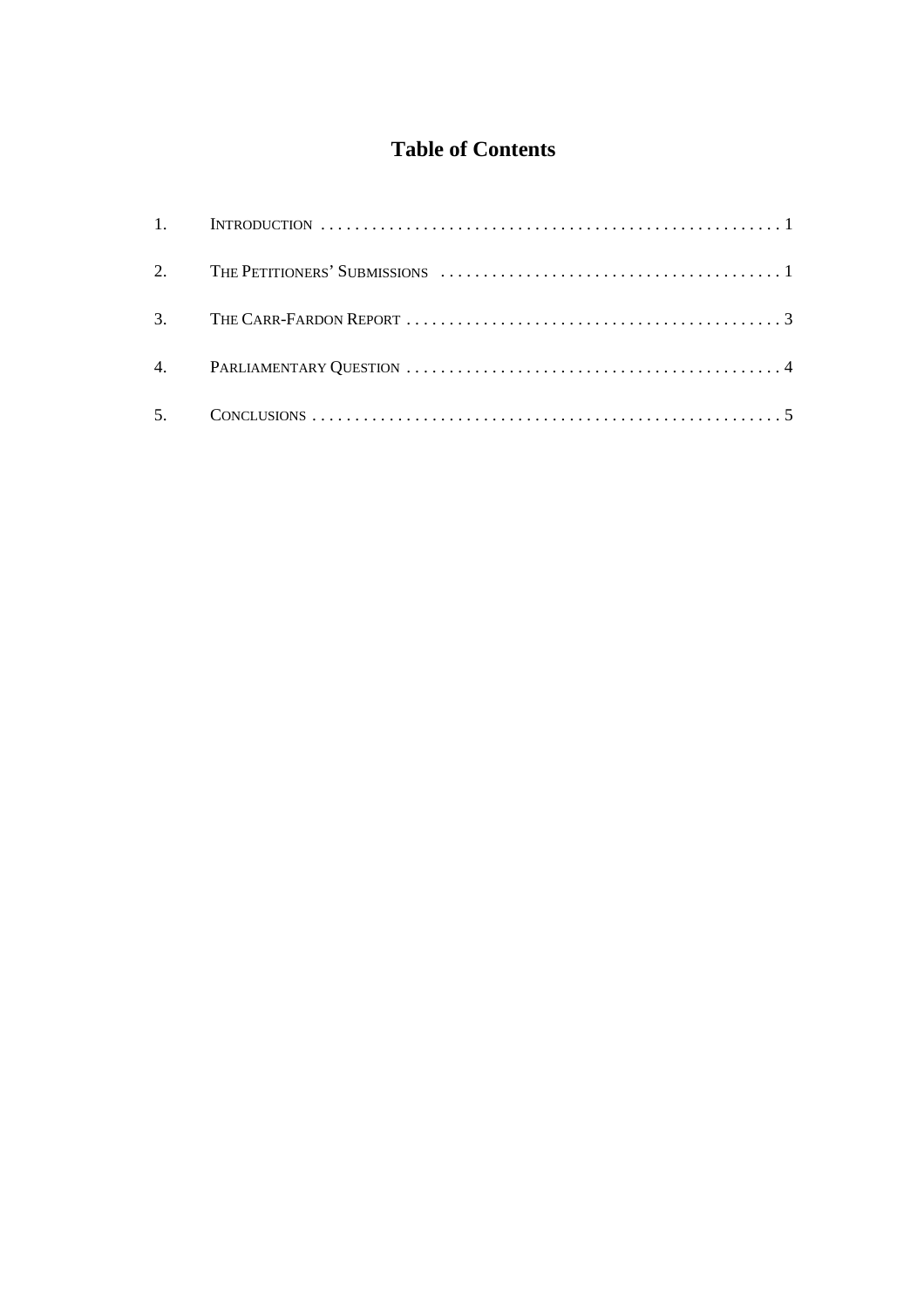## **Table of Contents**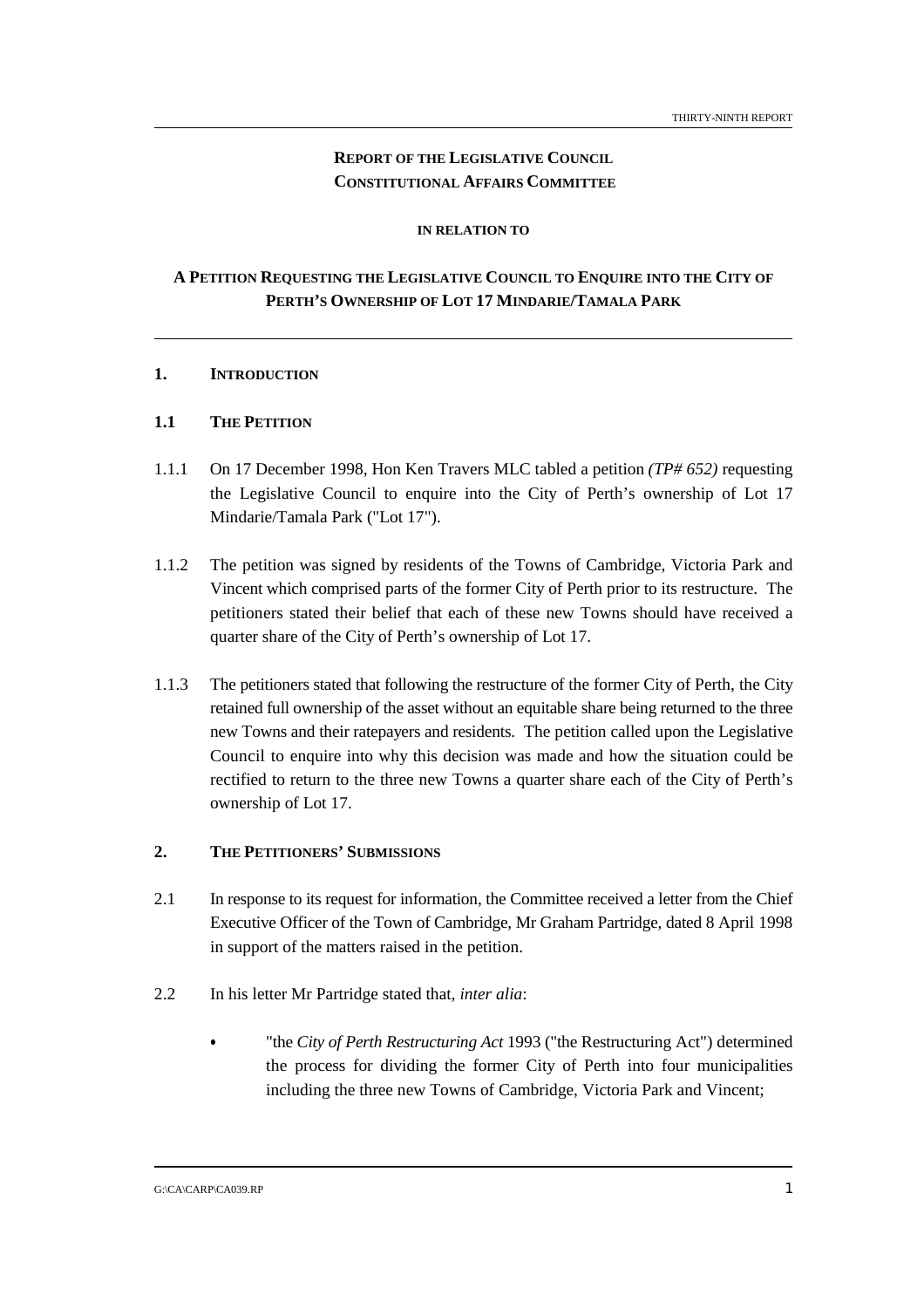## **REPORT OF THE LEGISLATIVE COUNCIL CONSTITUTIONAL AFFAIRS COMMITTEE**

### **IN RELATION TO**

## **A PETITION REQUESTING THE LEGISLATIVE COUNCIL TO ENQUIRE INTO THE CITY OF PERTH'S OWNERSHIP OF LOT 17 MINDARIE/TAMALA PARK**

#### **1. INTRODUCTION**

### **1.1 THE PETITION**

- 1.1.1 On 17 December 1998, Hon Ken Travers MLC tabled a petition *(TP# 652)* requesting the Legislative Council to enquire into the City of Perth's ownership of Lot 17 Mindarie/Tamala Park ("Lot 17").
- 1.1.2 The petition was signed by residents of the Towns of Cambridge, Victoria Park and Vincent which comprised parts of the former City of Perth prior to its restructure. The petitioners stated their belief that each of these new Towns should have received a quarter share of the City of Perth's ownership of Lot 17.
- 1.1.3 The petitioners stated that following the restructure of the former City of Perth, the City retained full ownership of the asset without an equitable share being returned to the three new Towns and their ratepayers and residents. The petition called upon the Legislative Council to enquire into why this decision was made and how the situation could be rectified to return to the three new Towns a quarter share each of the City of Perth's ownership of Lot 17.

#### **2. THE PETITIONERS' SUBMISSIONS**

- 2.1 In response to its request for information, the Committee received a letter from the Chief Executive Officer of the Town of Cambridge, Mr Graham Partridge, dated 8 April 1998 in support of the matters raised in the petition.
- 2.2 In his letter Mr Partridge stated that*, inter alia*:
	- "the *City of Perth Restructuring Act* 1993 ("the Restructuring Act") determined the process for dividing the former City of Perth into four municipalities including the three new Towns of Cambridge, Victoria Park and Vincent;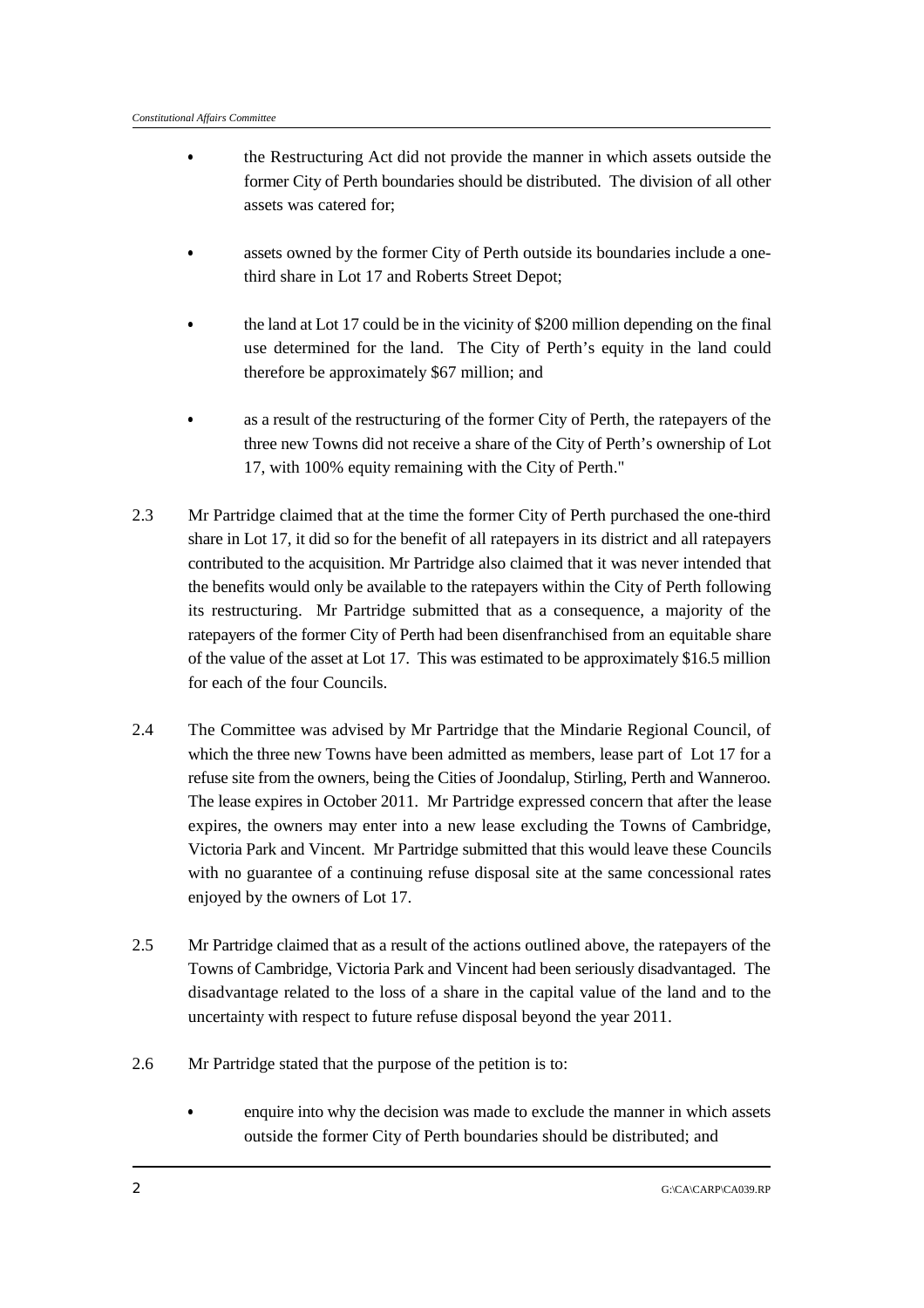- the Restructuring Act did not provide the manner in which assets outside the former City of Perth boundaries should be distributed. The division of all other assets was catered for;
- assets owned by the former City of Perth outside its boundaries include a onethird share in Lot 17 and Roberts Street Depot;
- the land at Lot 17 could be in the vicinity of \$200 million depending on the final use determined for the land. The City of Perth's equity in the land could therefore be approximately \$67 million; and
- as a result of the restructuring of the former City of Perth, the ratepayers of the three new Towns did not receive a share of the City of Perth's ownership of Lot 17, with 100% equity remaining with the City of Perth."
- 2.3 Mr Partridge claimed that at the time the former City of Perth purchased the one-third share in Lot 17, it did so for the benefit of all ratepayers in its district and all ratepayers contributed to the acquisition. Mr Partridge also claimed that it was never intended that the benefits would only be available to the ratepayers within the City of Perth following its restructuring. Mr Partridge submitted that as a consequence, a majority of the ratepayers of the former City of Perth had been disenfranchised from an equitable share of the value of the asset at Lot 17. This was estimated to be approximately \$16.5 million for each of the four Councils.
- 2.4 The Committee was advised by Mr Partridge that the Mindarie Regional Council, of which the three new Towns have been admitted as members, lease part of Lot 17 for a refuse site from the owners, being the Cities of Joondalup, Stirling, Perth and Wanneroo. The lease expires in October 2011. Mr Partridge expressed concern that after the lease expires, the owners may enter into a new lease excluding the Towns of Cambridge, Victoria Park and Vincent. Mr Partridge submitted that this would leave these Councils with no guarantee of a continuing refuse disposal site at the same concessional rates enjoyed by the owners of Lot 17.
- 2.5 Mr Partridge claimed that as a result of the actions outlined above, the ratepayers of the Towns of Cambridge, Victoria Park and Vincent had been seriously disadvantaged. The disadvantage related to the loss of a share in the capital value of the land and to the uncertainty with respect to future refuse disposal beyond the year 2011.
- 2.6 Mr Partridge stated that the purpose of the petition is to:
	- enquire into why the decision was made to exclude the manner in which assets outside the former City of Perth boundaries should be distributed; and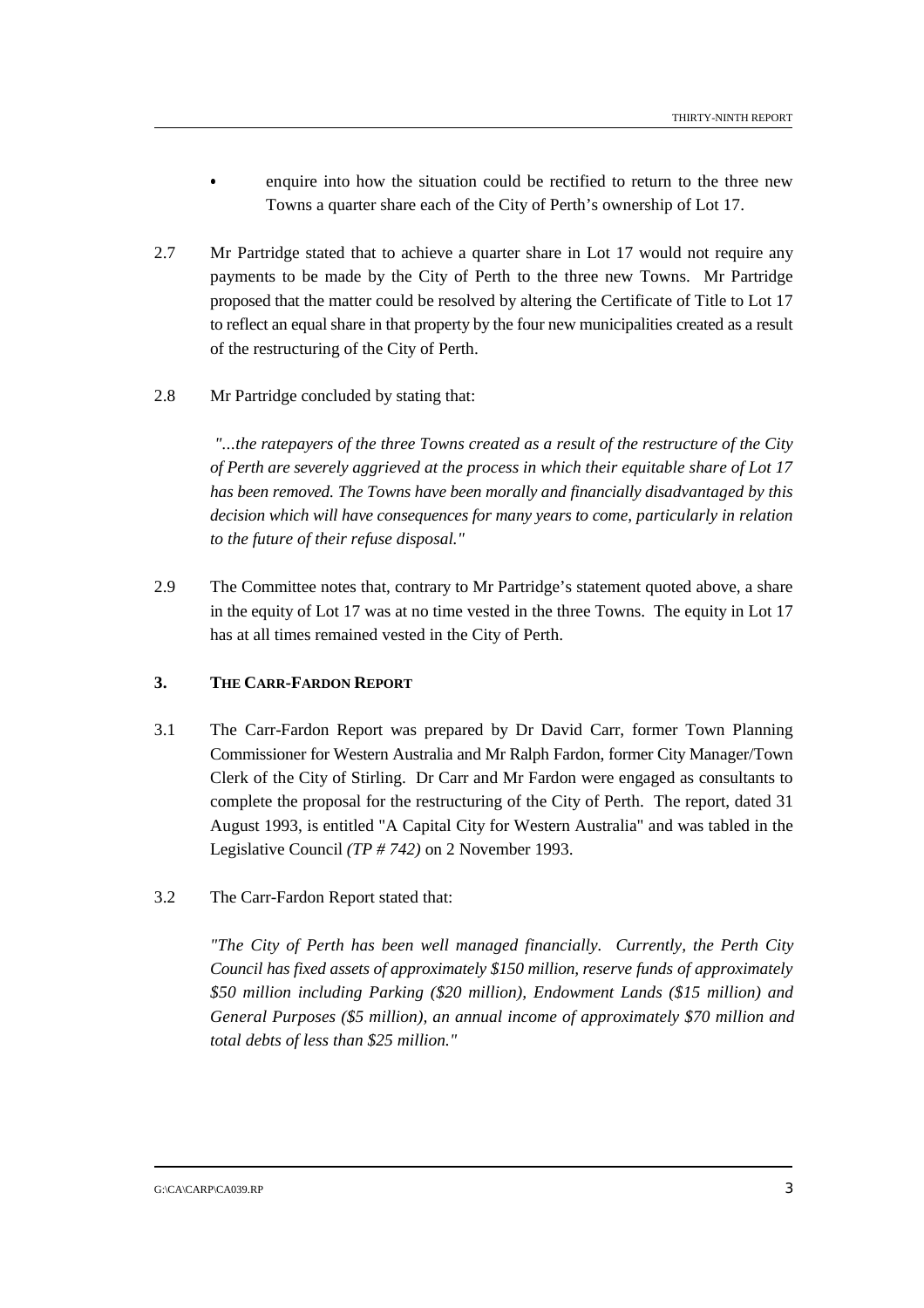enquire into how the situation could be rectified to return to the three new Towns a quarter share each of the City of Perth's ownership of Lot 17.

- 2.7 Mr Partridge stated that to achieve a quarter share in Lot 17 would not require any payments to be made by the City of Perth to the three new Towns. Mr Partridge proposed that the matter could be resolved by altering the Certificate of Title to Lot 17 to reflect an equal share in that property by the four new municipalities created as a result of the restructuring of the City of Perth.
- 2.8 Mr Partridge concluded by stating that:

 *"...the ratepayers of the three Towns created as a result of the restructure of the City of Perth are severely aggrieved at the process in which their equitable share of Lot 17 has been removed. The Towns have been morally and financially disadvantaged by this decision which will have consequences for many years to come, particularly in relation to the future of their refuse disposal."*

2.9 The Committee notes that, contrary to Mr Partridge's statement quoted above, a share in the equity of Lot 17 was at no time vested in the three Towns. The equity in Lot 17 has at all times remained vested in the City of Perth.

## **3. THE CARR-FARDON REPORT**

- 3.1 The Carr-Fardon Report was prepared by Dr David Carr, former Town Planning Commissioner for Western Australia and Mr Ralph Fardon, former City Manager/Town Clerk of the City of Stirling. Dr Carr and Mr Fardon were engaged as consultants to complete the proposal for the restructuring of the City of Perth. The report, dated 31 August 1993, is entitled "A Capital City for Western Australia" and was tabled in the Legislative Council *(TP # 742)* on 2 November 1993.
- 3.2 The Carr-Fardon Report stated that:

*"The City of Perth has been well managed financially. Currently, the Perth City Council has fixed assets of approximately \$150 million, reserve funds of approximately \$50 million including Parking (\$20 million), Endowment Lands (\$15 million) and General Purposes (\$5 million), an annual income of approximately \$70 million and total debts of less than \$25 million."*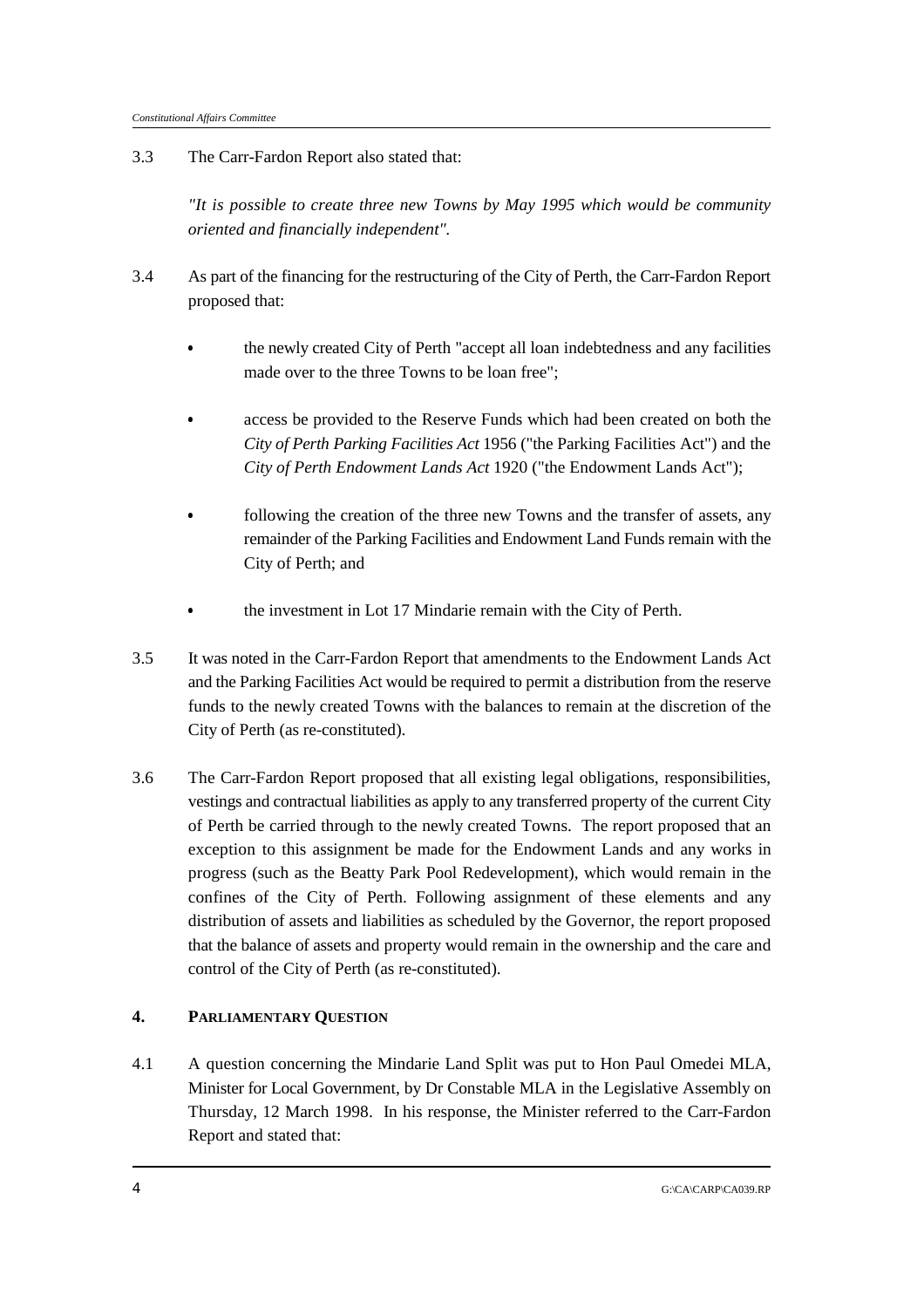3.3 The Carr-Fardon Report also stated that:

*"It is possible to create three new Towns by May 1995 which would be community oriented and financially independent".*

- 3.4 As part of the financing for the restructuring of the City of Perth, the Carr-Fardon Report proposed that:
	- the newly created City of Perth "accept all loan indebtedness and any facilities made over to the three Towns to be loan free";
	- access be provided to the Reserve Funds which had been created on both the *City of Perth Parking Facilities Act* 1956 ("the Parking Facilities Act") and the *City of Perth Endowment Lands Act* 1920 ("the Endowment Lands Act");
	- following the creation of the three new Towns and the transfer of assets, any remainder of the Parking Facilities and Endowment Land Funds remain with the City of Perth; and
	- &the investment in Lot 17 Mindarie remain with the City of Perth.
- 3.5 It was noted in the Carr-Fardon Report that amendments to the Endowment Lands Act and the Parking Facilities Act would be required to permit a distribution from the reserve funds to the newly created Towns with the balances to remain at the discretion of the City of Perth (as re-constituted).
- 3.6 The Carr-Fardon Report proposed that all existing legal obligations, responsibilities, vestings and contractual liabilities as apply to any transferred property of the current City of Perth be carried through to the newly created Towns. The report proposed that an exception to this assignment be made for the Endowment Lands and any works in progress (such as the Beatty Park Pool Redevelopment), which would remain in the confines of the City of Perth. Following assignment of these elements and any distribution of assets and liabilities as scheduled by the Governor, the report proposed that the balance of assets and property would remain in the ownership and the care and control of the City of Perth (as re-constituted).

## **4. PARLIAMENTARY QUESTION**

4.1 A question concerning the Mindarie Land Split was put to Hon Paul Omedei MLA, Minister for Local Government, by Dr Constable MLA in the Legislative Assembly on Thursday, 12 March 1998. In his response, the Minister referred to the Carr-Fardon Report and stated that: